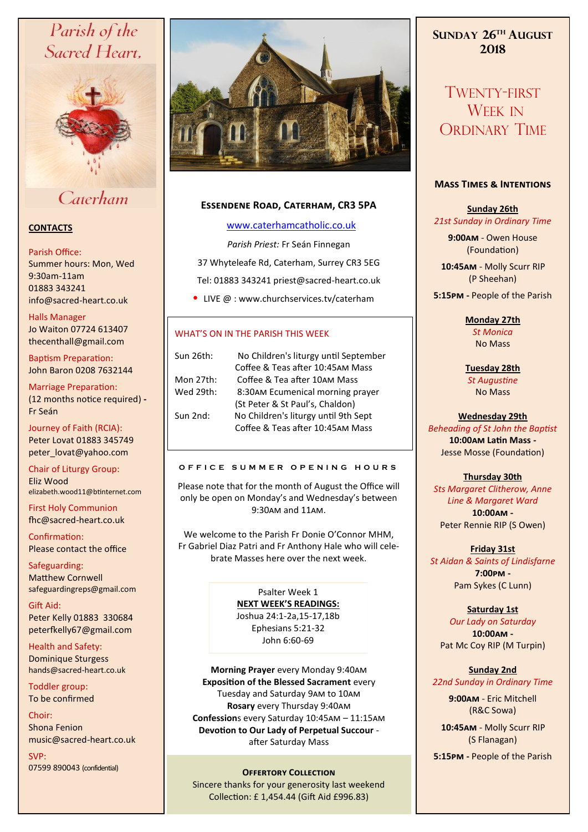# Parish of the Sacred Heart,



## Caterham

#### **CONTACTS**

#### Parish Office:

Summer hours: Mon, Wed 9:30am-11am 01883 343241 info@sacred-heart.co.uk .

Halls Manager Jo Waiton 07724 613407 thecenthall@gmail.com

Baptism Preparation: John Baron 0208 7632144

Marriage Preparation: (12 months notice required) **-** Fr Seán

Journey of Faith (RCIA): Peter Lovat 01883 345749 peter\_lovat@yahoo.com

Chair of Liturgy Group: Eliz Wood elizabeth.wood11@btinternet.com

First Holy Communion fhc@sacred-heart.co.uk

Confirmation: Please contact the office

Safeguarding: Matthew Cornwell safeguardingreps@gmail.com

Gift Aid: Peter Kelly 01883 330684 peterfkelly67@gmail.com

Health and Safety: Dominique Sturgess hands@sacred-heart.co.uk

Toddler group: To be confirmed

Choir: Shona Fenion music@sacred-heart.co.uk

SVP: 07599 890043 (confidential)



### **Essendene Road, Caterham, CR3 5PA**

#### [www.caterhamcatholic.co.uk](http://Www.caterhamcatholic.co.uk)

*Parish Priest:* Fr Seán Finnegan

37 Whyteleafe Rd, Caterham, Surrey CR3 5EG Tel: 01883 343241 priest@sacred-heart.co.uk

• LIVE @ : www.churchservices.tv/caterham

### WHAT'S ON IN THE PARISH THIS WEEK.

| Sun 26th: | No Children's liturgy until September |
|-----------|---------------------------------------|
|           | Coffee & Teas after 10:45AM Mass      |
| Mon 27th: | Coffee & Tea after 10AM Mass          |
| Wed 29th: | 8:30AM Ecumenical morning prayer      |
|           | (St Peter & St Paul's, Chaldon)       |
| Sun 2nd:  | No Children's liturgy until 9th Sept  |
|           | Coffee & Teas after 10:45AM Mass      |

#### **O F F I C E S U M M E R O P E N I N G H O U R S**

Please note that for the month of August the Office will only be open on Monday's and Wednesday's between 9:30am and 11am.

We welcome to the Parish Fr Donie O'Connor MHM, Fr Gabriel Diaz Patri and Fr Anthony Hale who will celebrate Masses here over the next week.

> Psalter Week 1 **NEXT WEEK'S READINGS:**  Joshua 24:1-2a,15-17,18b Ephesians 5:21-32 John 6:60-69

**Morning Prayer** every Monday 9:40am **Exposition of the Blessed Sacrament** every Tuesday and Saturday 9am to 10am **Rosary** every Thursday 9:40am **Confession**s every Saturday 10:45am – 11:15am **Devotion to Our Lady of Perpetual Succour**  after Saturday Mass

#### **OFFERTORY COLLECTION**

Sincere thanks for your generosity last weekend Collection: £ 1,454.44 (Gift Aid £996.83)

**SUNDAY 26TH AUGUST 2018**

TWENTY-FIRST WEEK IN ORDINARY TIME

#### **Mass Times & Intentions**

**Sunday 26th** *21st Sunday in Ordinary Time*

> **9:00am** - Owen House (Foundation)

.**10:45am** - Molly Scurr RIP (P Sheehan)

**5:15pm -** People of the Parish

**Monday 27th**  *St Monica* No Mass

**Tuesday 28th**  *St Augustine* No Mass

#### **Wednesday 29th**

*Beheading of St John the Baptist* **10:00am Latin Mass -** Jesse Mosse (Foundation)

#### **Thursday 30th**

*Sts Margaret Clitherow, Anne Line & Margaret Ward* **10:00am -**  Peter Rennie RIP (S Owen)

**Friday 31st**  *St Aidan & Saints of Lindisfarne* **7:00pm -** Pam Sykes (C Lunn)

#### **Saturday 1st**

*Our Lady on Saturday* **10:00am -**  Pat Mc Coy RIP (M Turpin)

## **Sunday 2nd**

*22nd Sunday in Ordinary Time*

**9:00am** - Eric Mitchell (R&C Sowa)

.**10:45am** - Molly Scurr RIP (S Flanagan)

**5:15pm -** People of the Parish